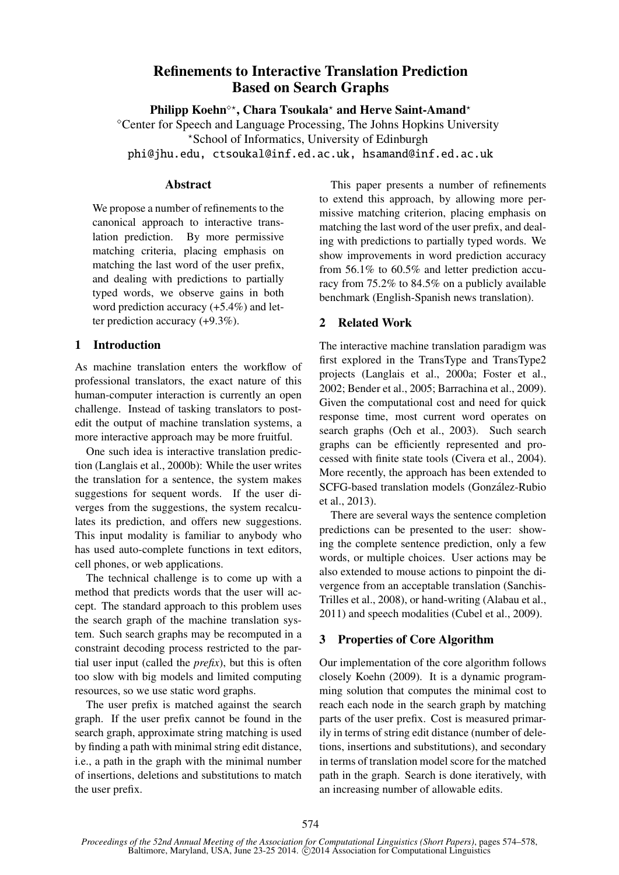# Refinements to Interactive Translation Prediction Based on Search Graphs

Philipp Koehn<sup>o\*</sup>, Chara Tsoukala<sup>\*</sup> and Herve Saint-Amand<sup>\*</sup> Center for Speech and Language Processing, The Johns Hopkins University ?School of Informatics, University of Edinburgh phi@jhu.edu, ctsoukal@inf.ed.ac.uk, hsamand@inf.ed.ac.uk

#### **Abstract**

We propose a number of refinements to the canonical approach to interactive translation prediction. By more permissive matching criteria, placing emphasis on matching the last word of the user prefix, and dealing with predictions to partially typed words, we observe gains in both word prediction accuracy (+5.4%) and letter prediction accuracy (+9.3%).

## 1 Introduction

As machine translation enters the workflow of professional translators, the exact nature of this human-computer interaction is currently an open challenge. Instead of tasking translators to postedit the output of machine translation systems, a more interactive approach may be more fruitful.

One such idea is interactive translation prediction (Langlais et al., 2000b): While the user writes the translation for a sentence, the system makes suggestions for sequent words. If the user diverges from the suggestions, the system recalculates its prediction, and offers new suggestions. This input modality is familiar to anybody who has used auto-complete functions in text editors, cell phones, or web applications.

The technical challenge is to come up with a method that predicts words that the user will accept. The standard approach to this problem uses the search graph of the machine translation system. Such search graphs may be recomputed in a constraint decoding process restricted to the partial user input (called the *prefix*), but this is often too slow with big models and limited computing resources, so we use static word graphs.

The user prefix is matched against the search graph. If the user prefix cannot be found in the search graph, approximate string matching is used by finding a path with minimal string edit distance, i.e., a path in the graph with the minimal number of insertions, deletions and substitutions to match the user prefix.

This paper presents a number of refinements to extend this approach, by allowing more permissive matching criterion, placing emphasis on matching the last word of the user prefix, and dealing with predictions to partially typed words. We show improvements in word prediction accuracy from 56.1% to 60.5% and letter prediction accuracy from 75.2% to 84.5% on a publicly available benchmark (English-Spanish news translation).

## 2 Related Work

The interactive machine translation paradigm was first explored in the TransType and TransType2 projects (Langlais et al., 2000a; Foster et al., 2002; Bender et al., 2005; Barrachina et al., 2009). Given the computational cost and need for quick response time, most current word operates on search graphs (Och et al., 2003). Such search graphs can be efficiently represented and processed with finite state tools (Civera et al., 2004). More recently, the approach has been extended to SCFG-based translation models (Gonzalez-Rubio ´ et al., 2013).

There are several ways the sentence completion predictions can be presented to the user: showing the complete sentence prediction, only a few words, or multiple choices. User actions may be also extended to mouse actions to pinpoint the divergence from an acceptable translation (Sanchis-Trilles et al., 2008), or hand-writing (Alabau et al., 2011) and speech modalities (Cubel et al., 2009).

## 3 Properties of Core Algorithm

Our implementation of the core algorithm follows closely Koehn (2009). It is a dynamic programming solution that computes the minimal cost to reach each node in the search graph by matching parts of the user prefix. Cost is measured primarily in terms of string edit distance (number of deletions, insertions and substitutions), and secondary in terms of translation model score for the matched path in the graph. Search is done iteratively, with an increasing number of allowable edits.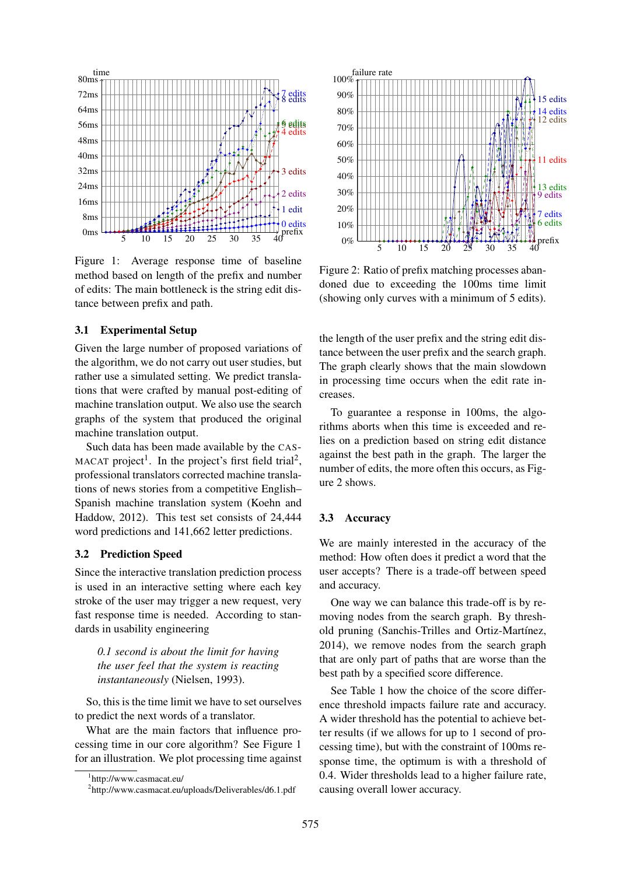

Figure 1: Average response time of baseline method based on length of the prefix and number of edits: The main bottleneck is the string edit distance between prefix and path.

#### 3.1 Experimental Setup

Given the large number of proposed variations of the algorithm, we do not carry out user studies, but rather use a simulated setting. We predict translations that were crafted by manual post-editing of machine translation output. We also use the search graphs of the system that produced the original machine translation output.

Such data has been made available by the CAS-MACAT project<sup>1</sup>. In the project's first field trial<sup>2</sup>, professional translators corrected machine translations of news stories from a competitive English– Spanish machine translation system (Koehn and Haddow, 2012). This test set consists of 24,444 word predictions and 141,662 letter predictions.

#### 3.2 Prediction Speed

Since the interactive translation prediction process is used in an interactive setting where each key stroke of the user may trigger a new request, very fast response time is needed. According to standards in usability engineering

*0.1 second is about the limit for having the user feel that the system is reacting instantaneously* (Nielsen, 1993).

So, this is the time limit we have to set ourselves to predict the next words of a translator.

What are the main factors that influence processing time in our core algorithm? See Figure 1 for an illustration. We plot processing time against



Figure 2: Ratio of prefix matching processes abandoned due to exceeding the 100ms time limit (showing only curves with a minimum of 5 edits).

the length of the user prefix and the string edit distance between the user prefix and the search graph. The graph clearly shows that the main slowdown in processing time occurs when the edit rate increases.

To guarantee a response in 100ms, the algorithms aborts when this time is exceeded and relies on a prediction based on string edit distance against the best path in the graph. The larger the number of edits, the more often this occurs, as Figure 2 shows.

#### 3.3 Accuracy

We are mainly interested in the accuracy of the method: How often does it predict a word that the user accepts? There is a trade-off between speed and accuracy.

One way we can balance this trade-off is by removing nodes from the search graph. By threshold pruning (Sanchis-Trilles and Ortiz-Martínez, 2014), we remove nodes from the search graph that are only part of paths that are worse than the best path by a specified score difference.

See Table 1 how the choice of the score difference threshold impacts failure rate and accuracy. A wider threshold has the potential to achieve better results (if we allows for up to 1 second of processing time), but with the constraint of 100ms response time, the optimum is with a threshold of 0.4. Wider thresholds lead to a higher failure rate, causing overall lower accuracy.

<sup>1</sup> http://www.casmacat.eu/

<sup>&</sup>lt;sup>2</sup>http://www.casmacat.eu/uploads/Deliverables/d6.1.pdf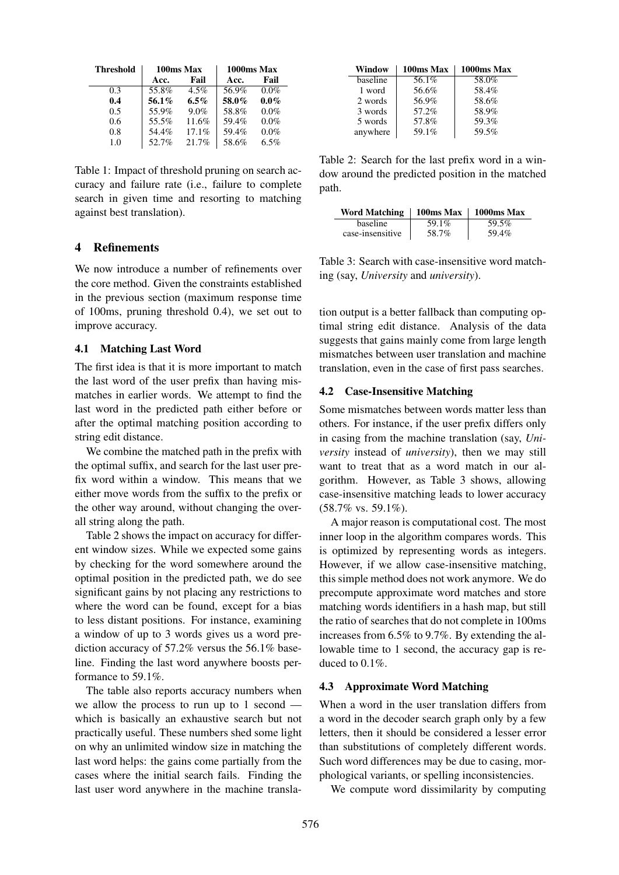| <b>Threshold</b> | 100ms Max |         | 1000ms Max |         |
|------------------|-----------|---------|------------|---------|
|                  | Acc.      | Fail    | Acc.       | Fail    |
| 0.3              | 55.8%     | 4.5%    | 56.9%      | $0.0\%$ |
| 0.4              | 56.1%     | $6.5\%$ | 58.0%      | $0.0\%$ |
| 0.5              | 55.9%     | 9.0%    | 58.8%      | $0.0\%$ |
| 0.6              | 55.5%     | 11.6%   | 59.4%      | $0.0\%$ |
| 0.8              | 54.4%     | 17.1%   | 59.4%      | $0.0\%$ |
| 1.0              | 52.7%     | 21.7%   | 58.6%      | 6.5%    |
|                  |           |         |            |         |

Table 1: Impact of threshold pruning on search accuracy and failure rate (i.e., failure to complete search in given time and resorting to matching against best translation).

## 4 Refinements

We now introduce a number of refinements over the core method. Given the constraints established in the previous section (maximum response time of 100ms, pruning threshold 0.4), we set out to improve accuracy.

#### 4.1 Matching Last Word

The first idea is that it is more important to match the last word of the user prefix than having mismatches in earlier words. We attempt to find the last word in the predicted path either before or after the optimal matching position according to string edit distance.

We combine the matched path in the prefix with the optimal suffix, and search for the last user prefix word within a window. This means that we either move words from the suffix to the prefix or the other way around, without changing the overall string along the path.

Table 2 shows the impact on accuracy for different window sizes. While we expected some gains by checking for the word somewhere around the optimal position in the predicted path, we do see significant gains by not placing any restrictions to where the word can be found, except for a bias to less distant positions. For instance, examining a window of up to 3 words gives us a word prediction accuracy of 57.2% versus the 56.1% baseline. Finding the last word anywhere boosts performance to 59.1%.

The table also reports accuracy numbers when we allow the process to run up to 1 second which is basically an exhaustive search but not practically useful. These numbers shed some light on why an unlimited window size in matching the last word helps: the gains come partially from the cases where the initial search fails. Finding the last user word anywhere in the machine transla-

| Window   | 100ms Max | 1000ms Max |
|----------|-----------|------------|
| baseline | 56.1%     | 58.0%      |
| 1 word   | 56.6%     | 58.4%      |
| 2 words  | 56.9%     | 58.6%      |
| 3 words  | 57.2%     | 58.9%      |
| 5 words  | 57.8%     | 59.3%      |
| anywhere | 59.1%     | 59.5%      |

Table 2: Search for the last prefix word in a window around the predicted position in the matched path.

| <b>Word Matching</b> |       | $100\text{ms}$ Max   1000ms Max |
|----------------------|-------|---------------------------------|
| baseline             | 59.1% | 59.5%                           |
| case-insensitive     | 58.7% | 59.4%                           |

Table 3: Search with case-insensitive word matching (say, *University* and *university*).

tion output is a better fallback than computing optimal string edit distance. Analysis of the data suggests that gains mainly come from large length mismatches between user translation and machine translation, even in the case of first pass searches.

## 4.2 Case-Insensitive Matching

Some mismatches between words matter less than others. For instance, if the user prefix differs only in casing from the machine translation (say, *University* instead of *university*), then we may still want to treat that as a word match in our algorithm. However, as Table 3 shows, allowing case-insensitive matching leads to lower accuracy  $(58.7\% \text{ vs. } 59.1\%).$ 

A major reason is computational cost. The most inner loop in the algorithm compares words. This is optimized by representing words as integers. However, if we allow case-insensitive matching, this simple method does not work anymore. We do precompute approximate word matches and store matching words identifiers in a hash map, but still the ratio of searches that do not complete in 100ms increases from 6.5% to 9.7%. By extending the allowable time to 1 second, the accuracy gap is reduced to 0.1%.

#### 4.3 Approximate Word Matching

When a word in the user translation differs from a word in the decoder search graph only by a few letters, then it should be considered a lesser error than substitutions of completely different words. Such word differences may be due to casing, morphological variants, or spelling inconsistencies.

We compute word dissimilarity by computing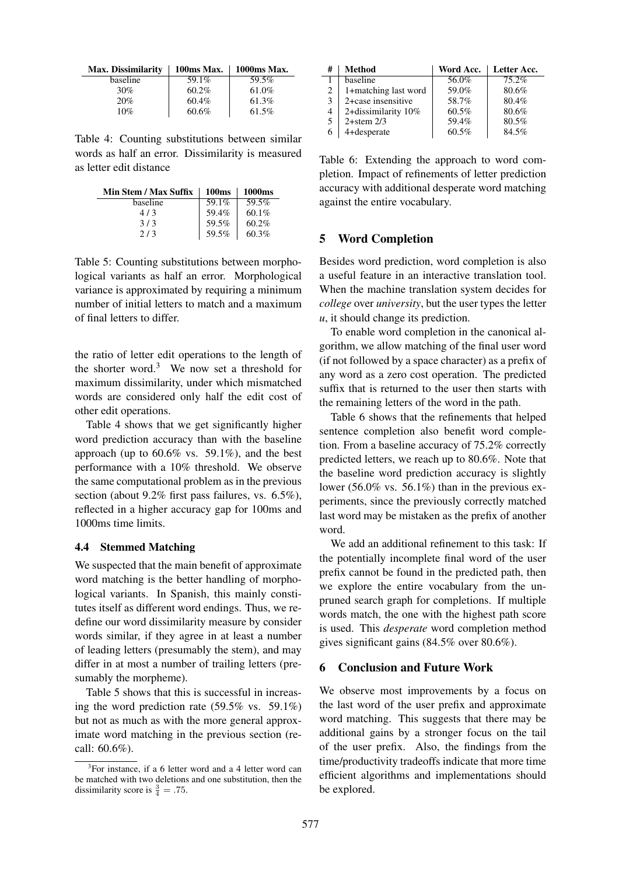| <b>Max. Dissimilarity</b> | 100ms Max. | 1000ms Max. |
|---------------------------|------------|-------------|
| baseline                  | 59.1%      | 59.5%       |
| 30%                       | $60.2\%$   | 61.0%       |
| 20%                       | 60.4%      | 61.3%       |
| 10%                       | 60.6%      | 61.5%       |

Table 4: Counting substitutions between similar words as half an error. Dissimilarity is measured as letter edit distance

| Min Stem / Max Suffix | 100 <sub>ms</sub> | 1000 <sub>ms</sub> |
|-----------------------|-------------------|--------------------|
| baseline              | 59.1%             | 59.5%              |
| 4/3                   | 59.4%             | $60.1\%$           |
| 3/3                   | 59.5%             | 60.2%              |
| 2/3                   | 59.5%             | 60.3%              |

Table 5: Counting substitutions between morphological variants as half an error. Morphological variance is approximated by requiring a minimum number of initial letters to match and a maximum of final letters to differ.

the ratio of letter edit operations to the length of the shorter word.<sup>3</sup> We now set a threshold for maximum dissimilarity, under which mismatched words are considered only half the edit cost of other edit operations.

Table 4 shows that we get significantly higher word prediction accuracy than with the baseline approach (up to  $60.6\%$  vs. 59.1%), and the best performance with a 10% threshold. We observe the same computational problem as in the previous section (about 9.2% first pass failures, vs. 6.5%), reflected in a higher accuracy gap for 100ms and 1000ms time limits.

#### 4.4 Stemmed Matching

We suspected that the main benefit of approximate word matching is the better handling of morphological variants. In Spanish, this mainly constitutes itself as different word endings. Thus, we redefine our word dissimilarity measure by consider words similar, if they agree in at least a number of leading letters (presumably the stem), and may differ in at most a number of trailing letters (presumably the morpheme).

Table 5 shows that this is successful in increasing the word prediction rate (59.5% vs. 59.1%) but not as much as with the more general approximate word matching in the previous section (recall: 60.6%).

| # | <b>Method</b>        | Word Acc. | Letter Acc. |
|---|----------------------|-----------|-------------|
|   | baseline             | 56.0%     | 75.2%       |
| 2 | 1+matching last word | 59.0%     | 80.6%       |
| 3 | 2+case insensitive   | 58.7%     | 80.4%       |
| 4 | 2+dissimilarity 10%  | $60.5\%$  | 80.6%       |
| 5 | $2+$ stem $2/3$      | 59.4%     | 80.5%       |
| 6 | 4+desperate          | $60.5\%$  | 84.5%       |

Table 6: Extending the approach to word completion. Impact of refinements of letter prediction accuracy with additional desperate word matching against the entire vocabulary.

#### 5 Word Completion

Besides word prediction, word completion is also a useful feature in an interactive translation tool. When the machine translation system decides for *college* over *university*, but the user types the letter *u*, it should change its prediction.

To enable word completion in the canonical algorithm, we allow matching of the final user word (if not followed by a space character) as a prefix of any word as a zero cost operation. The predicted suffix that is returned to the user then starts with the remaining letters of the word in the path.

Table 6 shows that the refinements that helped sentence completion also benefit word completion. From a baseline accuracy of 75.2% correctly predicted letters, we reach up to 80.6%. Note that the baseline word prediction accuracy is slightly lower (56.0% vs. 56.1%) than in the previous experiments, since the previously correctly matched last word may be mistaken as the prefix of another word.

We add an additional refinement to this task: If the potentially incomplete final word of the user prefix cannot be found in the predicted path, then we explore the entire vocabulary from the unpruned search graph for completions. If multiple words match, the one with the highest path score is used. This *desperate* word completion method gives significant gains (84.5% over 80.6%).

#### 6 Conclusion and Future Work

We observe most improvements by a focus on the last word of the user prefix and approximate word matching. This suggests that there may be additional gains by a stronger focus on the tail of the user prefix. Also, the findings from the time/productivity tradeoffs indicate that more time efficient algorithms and implementations should be explored.

<sup>&</sup>lt;sup>3</sup>For instance, if a 6 letter word and a 4 letter word can be matched with two deletions and one substitution, then the dissimilarity score is  $\frac{3}{4} = .75$ .